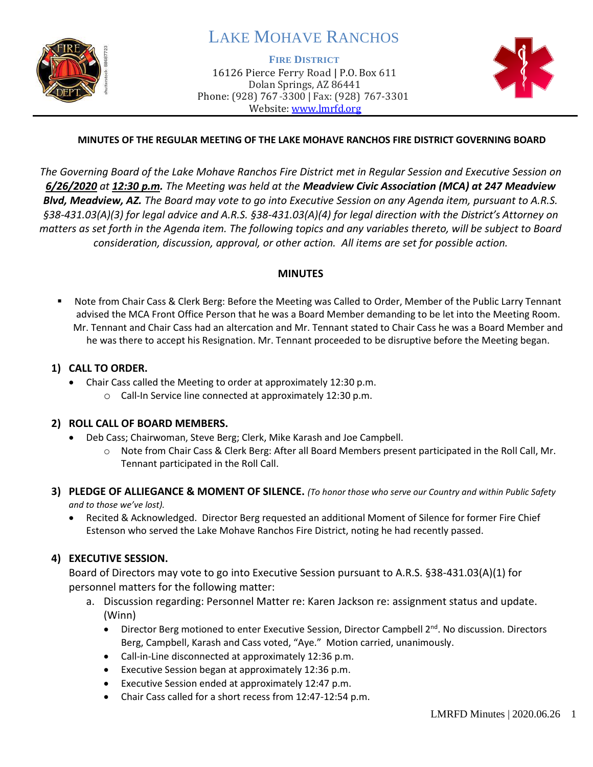

# LAKE MOHAVE RANCHOS

**FIRE DISTRICT**

16126 Pierce Ferry Road | P.O. Box 611 Dolan Springs, AZ 86441 Phone: (928) 767-3300 | Fax: (928) 767-3301 Website: [www.lmrfd.org](http://www.lmrfd.org/)



### **MINUTES OF THE REGULAR MEETING OF THE LAKE MOHAVE RANCHOS FIRE DISTRICT GOVERNING BOARD**

*The Governing Board of the Lake Mohave Ranchos Fire District met in Regular Session and Executive Session on 6/26/2020 at 12:30 p.m. The Meeting was held at the Meadview Civic Association (MCA) at 247 Meadview Blvd, Meadview, AZ. The Board may vote to go into Executive Session on any Agenda item, pursuant to A.R.S. §38-431.03(A)(3) for legal advice and A.R.S. §38-431.03(A)(4) for legal direction with the District's Attorney on matters as set forth in the Agenda item. The following topics and any variables thereto, will be subject to Board consideration, discussion, approval, or other action. All items are set for possible action.* 

#### **MINUTES**

■ Note from Chair Cass & Clerk Berg: Before the Meeting was Called to Order, Member of the Public Larry Tennant advised the MCA Front Office Person that he was a Board Member demanding to be let into the Meeting Room. Mr. Tennant and Chair Cass had an altercation and Mr. Tennant stated to Chair Cass he was a Board Member and he was there to accept his Resignation. Mr. Tennant proceeded to be disruptive before the Meeting began.

#### **1) CALL TO ORDER.**

- Chair Cass called the Meeting to order at approximately 12:30 p.m.
	- o Call-In Service line connected at approximately 12:30 p.m.

### **2) ROLL CALL OF BOARD MEMBERS.**

- Deb Cass; Chairwoman, Steve Berg; Clerk, Mike Karash and Joe Campbell.
	- o Note from Chair Cass & Clerk Berg: After all Board Members present participated in the Roll Call, Mr. Tennant participated in the Roll Call.
- **3) PLEDGE OF ALLIEGANCE & MOMENT OF SILENCE.** *(To honor those who serve our Country and within Public Safety and to those we've lost).*
	- Recited & Acknowledged. Director Berg requested an additional Moment of Silence for former Fire Chief Estenson who served the Lake Mohave Ranchos Fire District, noting he had recently passed.

### **4) EXECUTIVE SESSION.**

Board of Directors may vote to go into Executive Session pursuant to A.R.S. §38-431.03(A)(1) for personnel matters for the following matter:

- a. Discussion regarding: Personnel Matter re: Karen Jackson re: assignment status and update. (Winn)
	- Director Berg motioned to enter Executive Session, Director Campbell 2<sup>nd</sup>. No discussion. Directors Berg, Campbell, Karash and Cass voted, "Aye." Motion carried, unanimously.
	- Call-in-Line disconnected at approximately 12:36 p.m.
	- Executive Session began at approximately 12:36 p.m.
	- Executive Session ended at approximately 12:47 p.m.
	- Chair Cass called for a short recess from 12:47-12:54 p.m.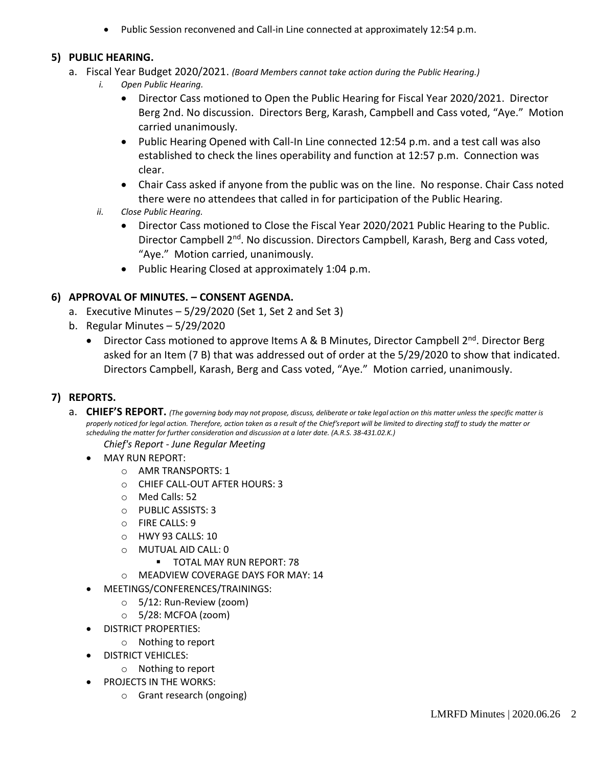• Public Session reconvened and Call-in Line connected at approximately 12:54 p.m.

## **5) PUBLIC HEARING.**

- a. Fiscal Year Budget 2020/2021. *(Board Members cannot take action during the Public Hearing.)*
	- *i. Open Public Hearing.* 
		- Director Cass motioned to Open the Public Hearing for Fiscal Year 2020/2021. Director Berg 2nd. No discussion. Directors Berg, Karash, Campbell and Cass voted, "Aye." Motion carried unanimously.
		- Public Hearing Opened with Call-In Line connected 12:54 p.m. and a test call was also established to check the lines operability and function at 12:57 p.m. Connection was clear.
		- Chair Cass asked if anyone from the public was on the line. No response. Chair Cass noted there were no attendees that called in for participation of the Public Hearing.
	- *ii. Close Public Hearing.* 
		- Director Cass motioned to Close the Fiscal Year 2020/2021 Public Hearing to the Public. Director Campbell 2<sup>nd</sup>. No discussion. Directors Campbell, Karash, Berg and Cass voted, "Aye." Motion carried, unanimously.
		- Public Hearing Closed at approximately 1:04 p.m.

# **6) APPROVAL OF MINUTES. – CONSENT AGENDA.**

- a. Executive Minutes  $-5/29/2020$  (Set 1, Set 2 and Set 3)
- b. Regular Minutes 5/29/2020
	- Director Cass motioned to approve Items A & B Minutes, Director Campbell 2<sup>nd</sup>. Director Berg asked for an Item (7 B) that was addressed out of order at the 5/29/2020 to show that indicated. Directors Campbell, Karash, Berg and Cass voted, "Aye." Motion carried, unanimously.

# **7) REPORTS.**

a. CHIEF'S REPORT. (The governing body may not propose, discuss, deliberate or take legal action on this matter unless the specific matter is *properly noticed for legal action. Therefore, action taken as a result of the Chief's report will be limited to directing staff to study the matter or scheduling the matter for further consideration and discussion at a later date. (A.R.S. 38-431.02.K.)*

### *Chief's Report - June Regular Meeting*

- MAY RUN REPORT:
	- o AMR TRANSPORTS: 1
	- o CHIEF CALL-OUT AFTER HOURS: 3
	- o Med Calls: 52
	- o PUBLIC ASSISTS: 3
	- o FIRE CALLS: 9
	- o HWY 93 CALLS: 10
	- o MUTUAL AID CALL: 0
		- **TOTAL MAY RUN REPORT: 78**
	- o MEADVIEW COVERAGE DAYS FOR MAY: 14
	- MEETINGS/CONFERENCES/TRAININGS:
		- o 5/12: Run-Review (zoom)
		- $\circ$  5/28: MCFOA (zoom)
- DISTRICT PROPERTIES:
	- o Nothing to report
- DISTRICT VEHICLES:
	- o Nothing to report
- PROJECTS IN THE WORKS:
	- o Grant research (ongoing)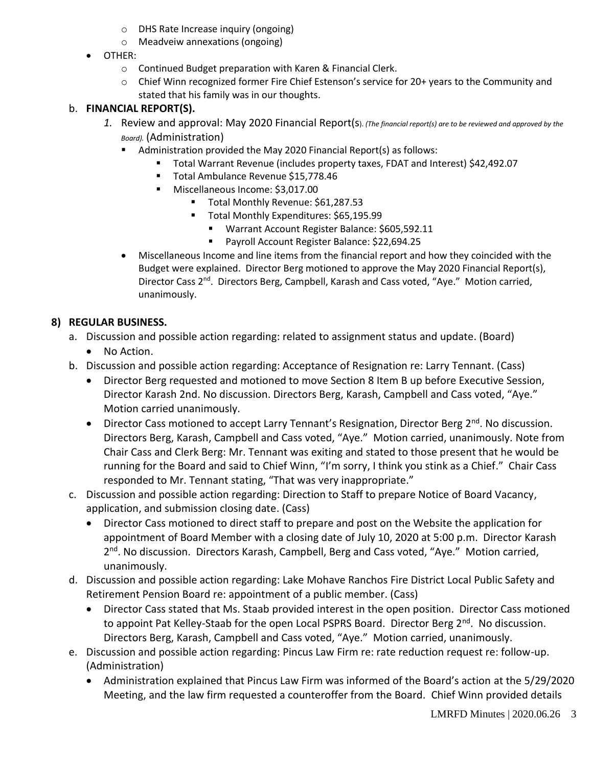- o DHS Rate Increase inquiry (ongoing)
- o Meadveiw annexations (ongoing)
- OTHER:
	- o Continued Budget preparation with Karen & Financial Clerk.
	- o Chief Winn recognized former Fire Chief Estenson's service for 20+ years to the Community and stated that his family was in our thoughts.

# b. **FINANCIAL REPORT(S).**

- *1.* Review and approval: May 2020 Financial Report(s). *(The financial report(s) are to be reviewed and approved by the Board).* (Administration)
	- Administration provided the May 2020 Financial Report(s) as follows:
		- Total Warrant Revenue (includes property taxes, FDAT and Interest) \$42,492.07
		- Total Ambulance Revenue \$15,778.46
		- Miscellaneous Income: \$3,017.00
			- Total Monthly Revenue: \$61,287.53
			- Total Monthly Expenditures: \$65,195.99
				- Warrant Account Register Balance: \$605,592.11
				- Payroll Account Register Balance: \$22,694.25
	- Miscellaneous Income and line items from the financial report and how they coincided with the Budget were explained. Director Berg motioned to approve the May 2020 Financial Report(s), Director Cass 2<sup>nd</sup>. Directors Berg, Campbell, Karash and Cass voted, "Aye." Motion carried, unanimously.

# **8) REGULAR BUSINESS.**

- a. Discussion and possible action regarding: related to assignment status and update. (Board)
	- No Action.
- b. Discussion and possible action regarding: Acceptance of Resignation re: Larry Tennant. (Cass)
	- Director Berg requested and motioned to move Section 8 Item B up before Executive Session, Director Karash 2nd. No discussion. Directors Berg, Karash, Campbell and Cass voted, "Aye." Motion carried unanimously.
	- Director Cass motioned to accept Larry Tennant's Resignation, Director Berg 2<sup>nd</sup>. No discussion. Directors Berg, Karash, Campbell and Cass voted, "Aye." Motion carried, unanimously. Note from Chair Cass and Clerk Berg: Mr. Tennant was exiting and stated to those present that he would be running for the Board and said to Chief Winn, "I'm sorry, I think you stink as a Chief." Chair Cass responded to Mr. Tennant stating, "That was very inappropriate."
- c. Discussion and possible action regarding: Direction to Staff to prepare Notice of Board Vacancy, application, and submission closing date. (Cass)
	- Director Cass motioned to direct staff to prepare and post on the Website the application for appointment of Board Member with a closing date of July 10, 2020 at 5:00 p.m. Director Karash 2<sup>nd</sup>. No discussion. Directors Karash, Campbell, Berg and Cass voted, "Aye." Motion carried, unanimously.
- d. Discussion and possible action regarding: Lake Mohave Ranchos Fire District Local Public Safety and Retirement Pension Board re: appointment of a public member. (Cass)
	- Director Cass stated that Ms. Staab provided interest in the open position. Director Cass motioned to appoint Pat Kelley-Staab for the open Local PSPRS Board. Director Berg 2<sup>nd</sup>. No discussion. Directors Berg, Karash, Campbell and Cass voted, "Aye." Motion carried, unanimously.
- e. Discussion and possible action regarding: Pincus Law Firm re: rate reduction request re: follow-up. (Administration)
	- Administration explained that Pincus Law Firm was informed of the Board's action at the 5/29/2020 Meeting, and the law firm requested a counteroffer from the Board. Chief Winn provided details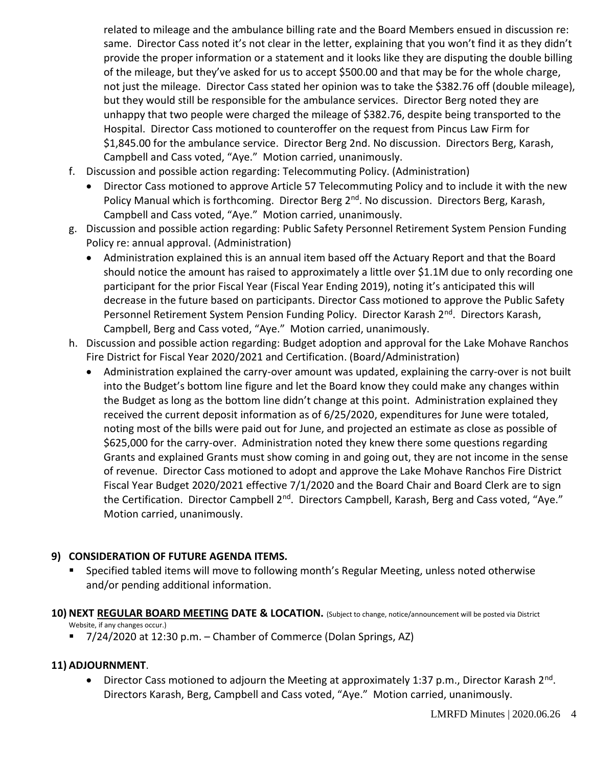related to mileage and the ambulance billing rate and the Board Members ensued in discussion re: same. Director Cass noted it's not clear in the letter, explaining that you won't find it as they didn't provide the proper information or a statement and it looks like they are disputing the double billing of the mileage, but they've asked for us to accept \$500.00 and that may be for the whole charge, not just the mileage. Director Cass stated her opinion was to take the \$382.76 off (double mileage), but they would still be responsible for the ambulance services. Director Berg noted they are unhappy that two people were charged the mileage of \$382.76, despite being transported to the Hospital. Director Cass motioned to counteroffer on the request from Pincus Law Firm for \$1,845.00 for the ambulance service. Director Berg 2nd. No discussion. Directors Berg, Karash, Campbell and Cass voted, "Aye." Motion carried, unanimously.

- f. Discussion and possible action regarding: Telecommuting Policy. (Administration)
	- Director Cass motioned to approve Article 57 Telecommuting Policy and to include it with the new Policy Manual which is forthcoming. Director Berg 2<sup>nd</sup>. No discussion. Directors Berg, Karash, Campbell and Cass voted, "Aye." Motion carried, unanimously.
- g. Discussion and possible action regarding: Public Safety Personnel Retirement System Pension Funding Policy re: annual approval. (Administration)
	- Administration explained this is an annual item based off the Actuary Report and that the Board should notice the amount has raised to approximately a little over \$1.1M due to only recording one participant for the prior Fiscal Year (Fiscal Year Ending 2019), noting it's anticipated this will decrease in the future based on participants. Director Cass motioned to approve the Public Safety Personnel Retirement System Pension Funding Policy. Director Karash 2<sup>nd</sup>. Directors Karash, Campbell, Berg and Cass voted, "Aye." Motion carried, unanimously.
- h. Discussion and possible action regarding: Budget adoption and approval for the Lake Mohave Ranchos Fire District for Fiscal Year 2020/2021 and Certification. (Board/Administration)
	- Administration explained the carry-over amount was updated, explaining the carry-over is not built into the Budget's bottom line figure and let the Board know they could make any changes within the Budget as long as the bottom line didn't change at this point. Administration explained they received the current deposit information as of 6/25/2020, expenditures for June were totaled, noting most of the bills were paid out for June, and projected an estimate as close as possible of \$625,000 for the carry-over. Administration noted they knew there some questions regarding Grants and explained Grants must show coming in and going out, they are not income in the sense of revenue. Director Cass motioned to adopt and approve the Lake Mohave Ranchos Fire District Fiscal Year Budget 2020/2021 effective 7/1/2020 and the Board Chair and Board Clerk are to sign the Certification. Director Campbell 2<sup>nd</sup>. Directors Campbell, Karash, Berg and Cass voted, "Aye." Motion carried, unanimously.

## **9) CONSIDERATION OF FUTURE AGENDA ITEMS.**

- Specified tabled items will move to following month's Regular Meeting, unless noted otherwise and/or pending additional information.
- **10) NEXT REGULAR BOARD MEETING DATE & LOCATION.** (Subject to change, notice/announcement will be posted via District Website, if any changes occur.)
	- 7/24/2020 at 12:30 p.m. Chamber of Commerce (Dolan Springs, AZ)

## **11) ADJOURNMENT**.

• Director Cass motioned to adjourn the Meeting at approximately 1:37 p.m., Director Karash 2<sup>nd</sup>. Directors Karash, Berg, Campbell and Cass voted, "Aye." Motion carried, unanimously.